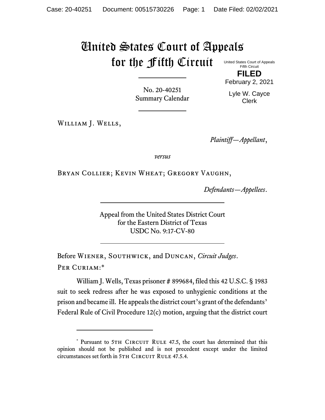## United States Court of Appeals for the Fifth Circuit

United States Court of Appeals Fifth Circuit

**FILED** February 2, 2021

No. 20-40251 Summary Calendar

Lyle W. Cayce Clerk

William J. Wells,

*Plaintiff—Appellant*,

*versus*

Bryan Collier; Kevin Wheat; Gregory Vaughn,

*Defendants—Appellees*.

Appeal from the United States District Court for the Eastern District of Texas USDC No. 9:17-CV-80

Before Wiener, Southwick, and Duncan, *Circuit Judges*. Per Curiam:\*

William J. Wells, Texas prisoner # 899684, filed this 42 U.S.C. § 1983 suit to seek redress after he was exposed to unhygienic conditions at the prison and became ill. He appeals the district court's grant of the defendants' Federal Rule of Civil Procedure 12(c) motion, arguing that the district court

<sup>\*</sup> Pursuant to 5TH CIRCUIT RULE 47.5, the court has determined that this opinion should not be published and is not precedent except under the limited circumstances set forth in 5TH CIRCUIT RULE 47.5.4.